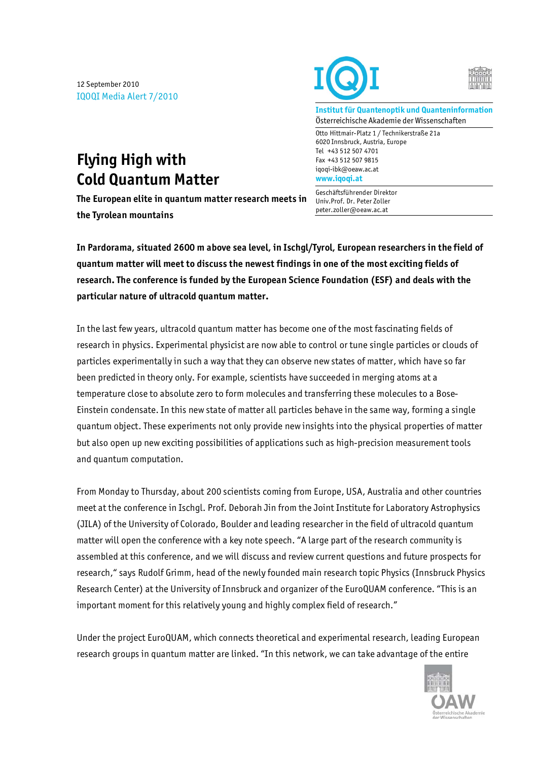12 September 2010 IQOQI Media Alert 7/2010





**Institut für Quantenoptik und Quanteninformation**  Österreichische Akademie der Wissenschaften

Otto Hittmair-Platz 1 / Technikerstraße 21a 6020 Innsbruck, Austria, Europe Tel +43 512 507 4701 Fax +43 512 507 9815 iqoqi-ibk@oeaw.ac.at **www.iqoqi.at** 

Geschäftsführender Direktor Univ.Prof. Dr. Peter Zoller peter.zoller@oeaw.ac.at

## **Flying High with Cold Quantum Matter**

**The European elite in quantum matter research meets in the Tyrolean mountains** 

**In Pardorama, situated 2600 m above sea level, in Ischgl/Tyrol, European researchers in the field of quantum matter will meet to discuss the newest findings in one of the most exciting fields of research. The conference is funded by the European Science Foundation (ESF) and deals with the particular nature of ultracold quantum matter.** 

In the last few years, ultracold quantum matter has become one of the most fascinating fields of research in physics. Experimental physicist are now able to control or tune single particles or clouds of particles experimentally in such a way that they can observe new states of matter, which have so far been predicted in theory only. For example, scientists have succeeded in merging atoms at a temperature close to absolute zero to form molecules and transferring these molecules to a Bose-Einstein condensate. In this new state of matter all particles behave in the same way, forming a single quantum object. These experiments not only provide new insights into the physical properties of matter but also open up new exciting possibilities of applications such as high-precision measurement tools and quantum computation.

From Monday to Thursday, about 200 scientists coming from Europe, USA, Australia and other countries meet at the conference in Ischgl. Prof. Deborah Jin from the Joint Institute for Laboratory Astrophysics (JILA) of the University of Colorado, Boulder and leading researcher in the field of ultracold quantum matter will open the conference with a key note speech. "A large part of the research community is assembled at this conference, and we will discuss and review current questions and future prospects for research," says Rudolf Grimm, head of the newly founded main research topic Physics (Innsbruck Physics Research Center) at the University of Innsbruck and organizer of the EuroQUAM conference. "This is an important moment for this relatively young and highly complex field of research."

Under the project EuroQUAM, which connects theoretical and experimental research, leading European research groups in quantum matter are linked. "In this network, we can take advantage of the entire